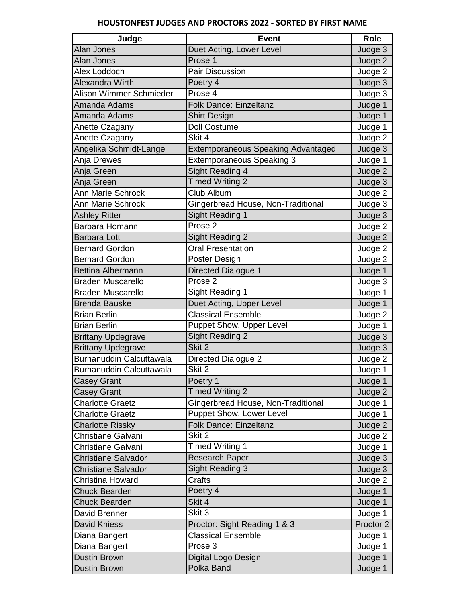| Judge                      | <b>Event</b>                              | <b>Role</b> |
|----------------------------|-------------------------------------------|-------------|
| Alan Jones                 | Duet Acting, Lower Level                  | Judge 3     |
| <b>Alan Jones</b>          | Prose 1                                   | Judge 2     |
| Alex Loddoch               | <b>Pair Discussion</b>                    | Judge 2     |
| <b>Alexandra Wirth</b>     | Poetry 4                                  | Judge 3     |
| Alison Wimmer Schmieder    | Prose 4                                   | Judge 3     |
| Amanda Adams               | <b>Folk Dance: Einzeltanz</b>             | Judge 1     |
| Amanda Adams               | <b>Shirt Design</b>                       | Judge 1     |
| Anette Czagany             | <b>Doll Costume</b>                       | Judge 1     |
| Anette Czagany             | Skit 4                                    | Judge 2     |
| Angelika Schmidt-Lange     | <b>Extemporaneous Speaking Advantaged</b> | Judge 3     |
| Anja Drewes                | <b>Extemporaneous Speaking 3</b>          | Judge 1     |
| Anja Green                 | <b>Sight Reading 4</b>                    | Judge 2     |
| Anja Green                 | <b>Timed Writing 2</b>                    | Judge 3     |
| <b>Ann Marie Schrock</b>   | Club Album                                | Judge 2     |
| Ann Marie Schrock          | Gingerbread House, Non-Traditional        | Judge 3     |
| <b>Ashley Ritter</b>       | <b>Sight Reading 1</b>                    | Judge 3     |
| Barbara Homann             | Prose <sub>2</sub>                        | Judge 2     |
| <b>Barbara Lott</b>        | <b>Sight Reading 2</b>                    | Judge 2     |
| <b>Bernard Gordon</b>      | <b>Oral Presentation</b>                  | Judge 2     |
| <b>Bernard Gordon</b>      | Poster Design                             | Judge 2     |
| <b>Bettina Albermann</b>   | Directed Dialogue 1                       | Judge 1     |
| <b>Braden Muscarello</b>   | Prose $2$                                 | Judge 3     |
| <b>Braden Muscarello</b>   | Sight Reading 1                           | Judge 1     |
| <b>Brenda Bauske</b>       | Duet Acting, Upper Level                  | Judge 1     |
| <b>Brian Berlin</b>        | <b>Classical Ensemble</b>                 | Judge 2     |
| <b>Brian Berlin</b>        | Puppet Show, Upper Level                  | Judge 1     |
| <b>Brittany Updegrave</b>  | <b>Sight Reading 2</b>                    | Judge 3     |
| <b>Brittany Updegrave</b>  | Skit 2                                    | Judge 3     |
| Burhanuddin Calcuttawala   | Directed Dialogue 2                       | Judge 2     |
| Burhanuddin Calcuttawala   | Skit 2                                    | Judge 1     |
| <b>Casey Grant</b>         | Poetry 1                                  | Judge 1     |
| <b>Casey Grant</b>         | <b>Timed Writing 2</b>                    | Judge 2     |
| <b>Charlotte Graetz</b>    | Gingerbread House, Non-Traditional        | Judge 1     |
| <b>Charlotte Graetz</b>    | <b>Puppet Show, Lower Level</b>           | Judge 1     |
| <b>Charlotte Rissky</b>    | <b>Folk Dance: Einzeltanz</b>             | Judge 2     |
| Christiane Galvani         | Skit 2                                    | Judge 2     |
| Christiane Galvani         | <b>Timed Writing 1</b>                    | Judge 1     |
| <b>Christiane Salvador</b> | Research Paper                            | Judge 3     |
| <b>Christiane Salvador</b> | Sight Reading 3                           | Judge 3     |
| Christina Howard           | Crafts                                    | Judge 2     |
| <b>Chuck Bearden</b>       | Poetry $\overline{4}$                     | Judge 1     |
| <b>Chuck Bearden</b>       | Skit 4                                    | Judge 1     |
| David Brenner              | Skit 3                                    | Judge 1     |
| David Kniess               | Proctor: Sight Reading 1 & 3              | Proctor 2   |
| Diana Bangert              | <b>Classical Ensemble</b>                 | Judge 1     |
| Diana Bangert              | Prose 3                                   | Judge 1     |
| <b>Dustin Brown</b>        | Digital Logo Design                       | Judge 1     |
| <b>Dustin Brown</b>        | Polka Band                                | Judge 1     |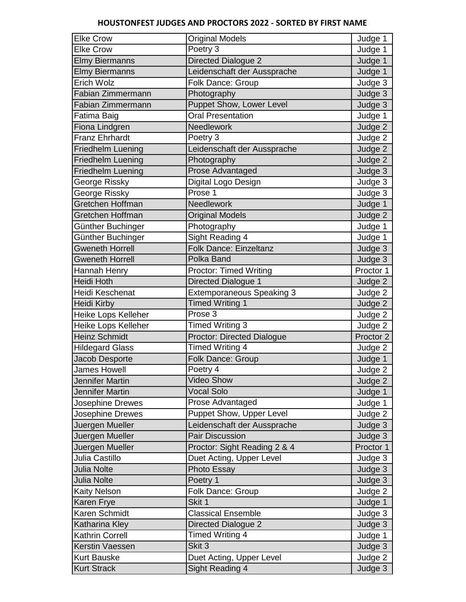| <b>Elke Crow</b>         | <b>Original Models</b>            | Judge 1   |
|--------------------------|-----------------------------------|-----------|
| <b>Elke Crow</b>         | Poetry 3                          | Judge 1   |
| <b>Elmy Biermanns</b>    | Directed Dialogue 2               | Judge 1   |
| <b>Elmy Biermanns</b>    | Leidenschaft der Aussprache       | Judge 1   |
| Erich Wolz               | Folk Dance: Group                 | Judge 3   |
| Fabian Zimmermann        | Photography                       | Judge 3   |
| Fabian Zimmermann        | Puppet Show, Lower Level          | Judge 3   |
| Fatima Baig              | <b>Oral Presentation</b>          | Judge 1   |
| Fiona Lindgren           | Needlework                        | Judge 2   |
| <b>Franz Ehrhardt</b>    | Poetry 3                          | Judge 2   |
| <b>Friedhelm Luening</b> | Leidenschaft der Aussprache       | Judge 2   |
| Friedhelm Luening        | Photography                       | Judge 2   |
| <b>Friedhelm Luening</b> | <b>Prose Advantaged</b>           | Judge 3   |
| George Rissky            | Digital Logo Design               | Judge 3   |
| George Rissky            | Prose 1                           | Judge 3   |
| Gretchen Hoffman         | Needlework                        | Judge 1   |
| Gretchen Hoffman         | <b>Original Models</b>            | Judge 2   |
| Günther Buchinger        | Photography                       | Judge 1   |
| Günther Buchinger        | Sight Reading 4                   | Judge 1   |
| <b>Gweneth Horrell</b>   | <b>Folk Dance: Einzeltanz</b>     | Judge 3   |
| <b>Gweneth Horrell</b>   | Polka Band                        | Judge 3   |
| Hannah Henry             | <b>Proctor: Timed Writing</b>     | Proctor 1 |
| <b>Heidi Hoth</b>        | Directed Dialogue 1               | Judge 2   |
| Heidi Keschenat          | Extemporaneous Speaking 3         | Judge 2   |
| Heidi Kirby              | <b>Timed Writing 1</b>            | Judge 2   |
| Heike Lops Kelleher      | Prose 3                           | Judge 2   |
| Heike Lops Kelleher      | Timed Writing 3                   | Judge 2   |
| <b>Heinz Schmidt</b>     | <b>Proctor: Directed Dialogue</b> | Proctor 2 |
| <b>Hildegard Glass</b>   | <b>Timed Writing 4</b>            | Judge 2   |
| Jacob Desporte           | Folk Dance: Group                 | Judge 1   |
| James Howell             | Poetry 4                          | Judge 2   |
| Jennifer Martin          | <b>Video Show</b>                 | Judge 2   |
| <b>Jennifer Martin</b>   | <b>Vocal Solo</b>                 | Judge 1   |
| Josephine Drewes         | Prose Advantaged                  | Judge 1   |
| Josephine Drewes         | Puppet Show, Upper Level          | Judge 2   |
| Juergen Mueller          | Leidenschaft der Aussprache       | Judge 3   |
| Juergen Mueller          | Pair Discussion                   | Judge 3   |
| Juergen Mueller          | Proctor: Sight Reading 2 & 4      | Proctor 1 |
| Julia Castillo           | Duet Acting, Upper Level          | Judge 3   |
| <b>Julia Nolte</b>       | Photo Essay                       | Judge 3   |
| <b>Julia Nolte</b>       | Poetry 1                          | Judge 3   |
| Kaity Nelson             | Folk Dance: Group                 | Judge 2   |
| Karen Frye               | Skit 1                            | Judge 1   |
| Karen Schmidt            | <b>Classical Ensemble</b>         | Judge 3   |
| Katharina Kley           | Directed Dialogue 2               | Judge 3   |
| <b>Kathrin Correll</b>   | Timed Writing 4                   | Judge 1   |
| Kerstin Vaessen          | Skit 3                            | Judge 3   |
| <b>Kurt Bauske</b>       | Duet Acting, Upper Level          | Judge 2   |
| <b>Kurt Strack</b>       | Sight Reading 4                   | Judge 3   |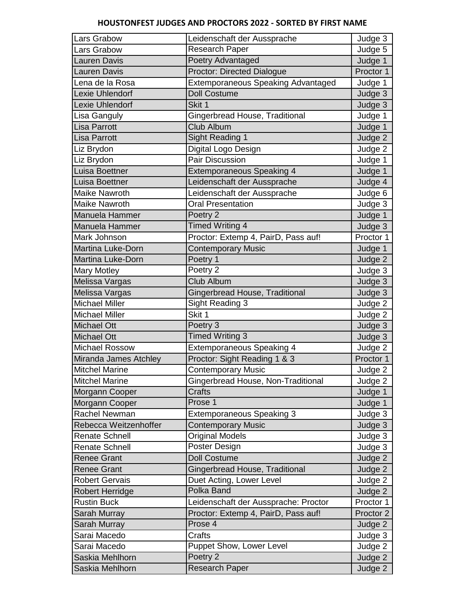| Lars Grabow              | Leidenschaft der Aussprache               | Judge 3   |
|--------------------------|-------------------------------------------|-----------|
| ars Grabow               | <b>Research Paper</b>                     | Judge 5   |
| Lauren Davis             | Poetry Advantaged                         | Judge 1   |
| auren Davis              | <b>Proctor: Directed Dialogue</b>         | Proctor 1 |
| ena de la Rosa           | <b>Extemporaneous Speaking Advantaged</b> | Judge 1   |
| Lexie Uhlendorf          | <b>Doll Costume</b>                       | Judge 3   |
| Lexie Uhlendorf          | Skit 1                                    | Judge 3   |
| Lisa Ganguly             | Gingerbread House, Traditional            | Judge 1   |
| Lisa Parrott             | Club Album                                | Judge 1   |
| Lisa Parrott             | <b>Sight Reading 1</b>                    | Judge 2   |
| Liz Brydon               | Digital Logo Design                       | Judge 2   |
| Liz Brydon               | <b>Pair Discussion</b>                    | Judge 1   |
| Luisa Boettner           | <b>Extemporaneous Speaking 4</b>          | Judge 1   |
| Luisa Boettner           | Leidenschaft der Aussprache               | Judge 4   |
| Maike Nawroth            | Leidenschaft der Aussprache               | Judge 6   |
| <b>Maike Nawroth</b>     | <b>Oral Presentation</b>                  | Judge 3   |
| Manuela Hammer           | Poetry 2                                  | Judge 1   |
| Manuela Hammer           | <b>Timed Writing 4</b>                    | Judge 3   |
| Mark Johnson             | Proctor: Extemp 4, PairD, Pass auf!       | Proctor 1 |
| <b>Martina Luke-Dorn</b> | <b>Contemporary Music</b>                 | Judge 1   |
| <b>Martina Luke-Dorn</b> | Poetry 1                                  | Judge 2   |
| <b>Mary Motley</b>       | Poetry 2                                  | Judge 3   |
| Melissa Vargas           | Club Album                                | Judge 3   |
| Melissa Vargas           | Gingerbread House, Traditional            | Judge 3   |
| <b>Michael Miller</b>    | Sight Reading 3                           | Judge 2   |
| <b>Michael Miller</b>    | Skit 1                                    | Judge 2   |
| <b>Michael Ott</b>       | Poetry 3                                  | Judge 3   |
| <b>Michael Ott</b>       | <b>Timed Writing 3</b>                    | Judge 3   |
| <b>Michael Rossow</b>    | <b>Extemporaneous Speaking 4</b>          | Judge 2   |
| Miranda James Atchley    | Proctor: Sight Reading 1 & 3              | Proctor 1 |
| <b>Mitchel Marine</b>    | <b>Contemporary Music</b>                 | Judge 2   |
| <b>Mitchel Marine</b>    | Gingerbread House, Non-Traditional        | Judge 2   |
| Morgann Cooper           | Crafts                                    | Judge 1   |
| Morgann Cooper           | Prose 1                                   | Judge 1   |
| Rachel Newman            | <b>Extemporaneous Speaking 3</b>          | Judge 3   |
| Rebecca Weitzenhoffer    | <b>Contemporary Music</b>                 | Judge 3   |
| <b>Renate Schnell</b>    | <b>Original Models</b>                    | Judge 3   |
| Renate Schnell           | Poster Design                             | Judge 3   |
| <b>Renee Grant</b>       | <b>Doll Costume</b>                       | Judge 2   |
| <b>Renee Grant</b>       | Gingerbread House, Traditional            | Judge 2   |
| <b>Robert Gervais</b>    | Duet Acting, Lower Level                  | Judge 2   |
| <b>Robert Herridge</b>   | <b>Polka Band</b>                         | Judge 2   |
| <b>Rustin Buck</b>       | Leidenschaft der Aussprache: Proctor      | Proctor 1 |
| Sarah Murray             | Proctor: Extemp 4, PairD, Pass auf!       | Proctor 2 |
| Sarah Murray             | Prose 4                                   | Judge 2   |
| Sarai Macedo             | Crafts                                    | Judge 3   |
| Sarai Macedo             | <b>Puppet Show, Lower Level</b>           | Judge 2   |
| Saskia Mehlhorn          | Poetry 2                                  | Judge 2   |
| Saskia Mehlhorn          | <b>Research Paper</b>                     | Judge 2   |